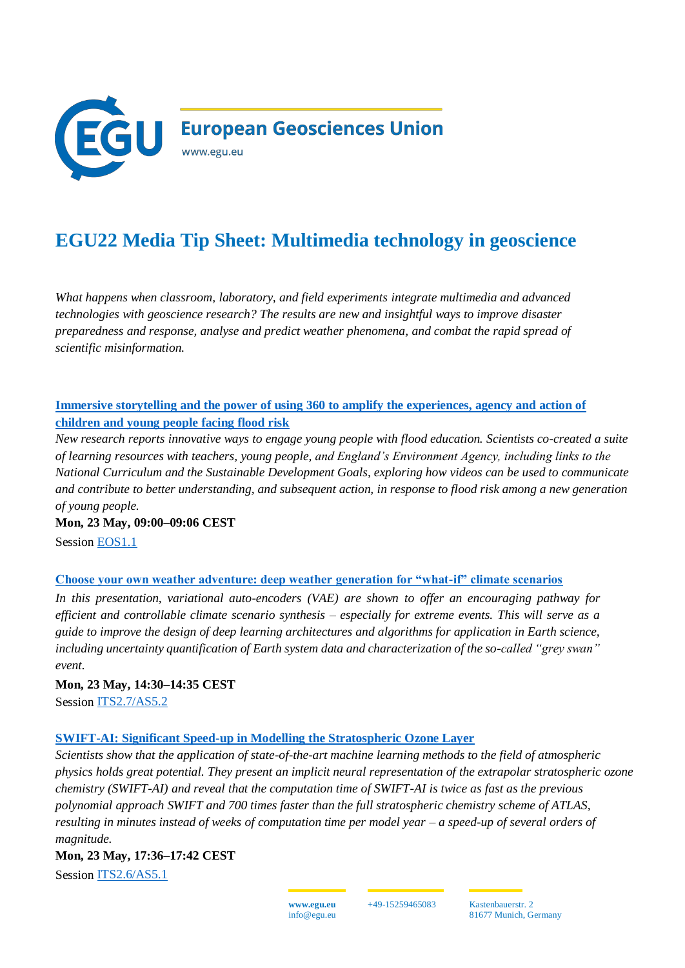

# **EGU22 Media Tip Sheet: Multimedia technology in geoscience**

*What happens when classroom, laboratory, and field experiments integrate multimedia and advanced technologies with geoscience research? The results are new and insightful ways to improve disaster preparedness and response, analyse and predict weather phenomena, and combat the rapid spread of scientific misinformation.* 

# **[Immersive storytelling and the power of using 360 to amplify the experiences, agency and action of](https://meetingorganizer.copernicus.org/EGU22/EGU22-1529.html)  [children and young people facing flood risk](https://meetingorganizer.copernicus.org/EGU22/EGU22-1529.html)**

*New research reports innovative ways to engage young people with flood education. Scientists co-created a suite of learning resources with teachers, young people, and England's Environment Agency, including links to the National Curriculum and the Sustainable Development Goals, exploring how videos can be used to communicate and contribute to better understanding, and subsequent action, in response to flood risk among a new generation of young people.*

**Mon, 23 May, 09:00–09:06 CEST** Session [EOS1.1](https://meetingorganizer.copernicus.org/EGU22/session/43033)

#### **[Choose your own weather adventure: deep weather generation for "what-if" climate scenarios](https://meetingorganizer.copernicus.org/EGU22/EGU22-10773.html)**

*In this presentation, variational auto-encoders (VAE) are shown to offer an encouraging pathway for efficient and controllable climate scenario synthesis – especially for extreme events. This will serve as a guide to improve the design of deep learning architectures and algorithms for application in Earth science, including uncertainty quantification of Earth system data and characterization of the so-called "grey swan" event.* 

**Mon, 23 May, 14:30–14:35 CEST** Session [ITS2.7/AS5.2](https://meetingorganizer.copernicus.org/EGU22/session/43851)

#### **[SWIFT-AI: Significant Speed-up in Modelling the Stratospheric Ozone Layer](https://meetingorganizer.copernicus.org/EGU22/EGU22-12574.html)**

*Scientists show that the application of state-of-the-art machine learning methods to the field of atmospheric physics holds great potential. They present an implicit neural representation of the extrapolar stratospheric ozone chemistry (SWIFT-AI) and reveal that the computation time of SWIFT-AI is twice as fast as the previous polynomial approach SWIFT and 700 times faster than the full stratospheric chemistry scheme of ATLAS, resulting in minutes instead of weeks of computation time per model year – a speed-up of several orders of magnitude.* 

#### **Mon, 23 May, 17:36–17:42 CEST**

Session [ITS2.6/AS5.1](https://meetingorganizer.copernicus.org/EGU22/session/43848)

**www.egu.eu** info@egu.eu

+49-15259465083 Kastenbauerstr. 2 81677 Munich, Germany